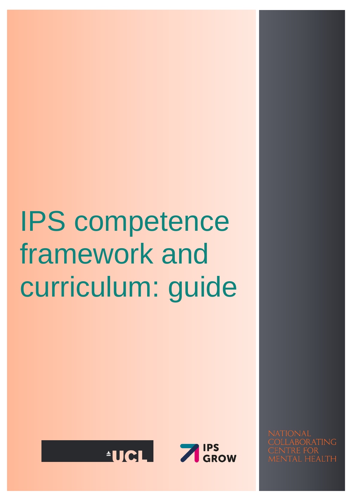# IPS competence framework and curriculum: guide





**BORATING STRE FOR**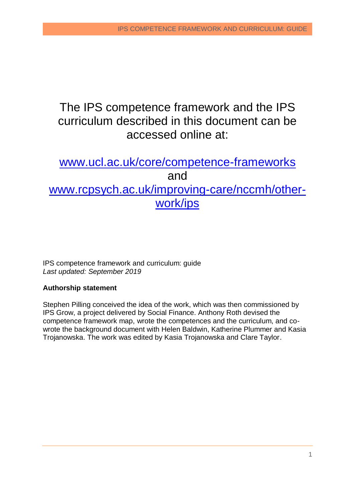## The IPS competence framework and the IPS curriculum described in this document can be accessed online at:

## [www.ucl.ac.uk/core/competence-frameworks](http://www.ucl.ac.uk/core/competence-frameworks) and [www.rcpsych.ac.uk/improving-care/nccmh/other](http://www.rcpsych.ac.uk/improving-care/nccmh/other-work/ips)[work/ips](http://www.rcpsych.ac.uk/improving-care/nccmh/other-work/ips)

IPS competence framework and curriculum: guide *Last updated: September 2019*

#### **Authorship statement**

Stephen Pilling conceived the idea of the work, which was then commissioned by IPS Grow, a project delivered by Social Finance. Anthony Roth devised the competence framework map, wrote the competences and the curriculum, and cowrote the background document with Helen Baldwin, Katherine Plummer and Kasia Trojanowska. The work was edited by Kasia Trojanowska and Clare Taylor.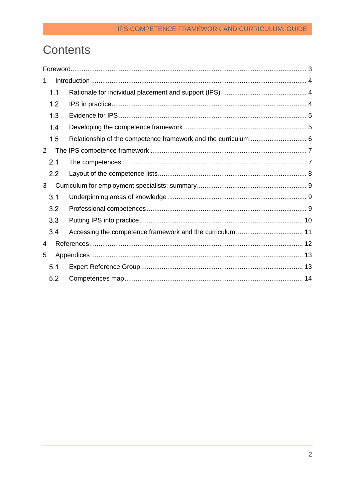# Contents

| 1              |     |  |  |
|----------------|-----|--|--|
|                | 1.1 |  |  |
|                | 1.2 |  |  |
|                | 1.3 |  |  |
|                | 1.4 |  |  |
|                | 1.5 |  |  |
| $\overline{2}$ |     |  |  |
|                | 2.1 |  |  |
|                | 2.2 |  |  |
| 3              |     |  |  |
|                | 3.1 |  |  |
|                | 3.2 |  |  |
|                | 3.3 |  |  |
|                | 3.4 |  |  |
| 4              |     |  |  |
| 5              |     |  |  |
|                | 5.1 |  |  |
|                | 5.2 |  |  |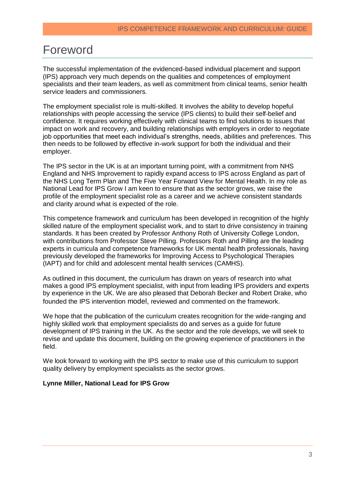## <span id="page-3-0"></span>Foreword

The successful implementation of the evidenced-based individual placement and support (IPS) approach very much depends on the qualities and competences of employment specialists and their team leaders, as well as commitment from clinical teams, senior health service leaders and commissioners.

The employment specialist role is multi-skilled. It involves the ability to develop hopeful relationships with people accessing the service (IPS clients) to build their self-belief and confidence. It requires working effectively with clinical teams to find solutions to issues that impact on work and recovery, and building relationships with employers in order to negotiate job opportunities that meet each individual's strengths, needs, abilities and preferences. This then needs to be followed by effective in-work support for both the individual and their employer.

The IPS sector in the UK is at an important turning point, with a commitment from NHS England and NHS Improvement to rapidly expand access to IPS across England as part of the NHS Long Term Plan and The Five Year Forward View for Mental Health. In my role as National Lead for IPS Grow I am keen to ensure that as the sector grows, we raise the profile of the employment specialist role as a career and we achieve consistent standards and clarity around what is expected of the role.

This competence framework and curriculum has been developed in recognition of the highly skilled nature of the employment specialist work, and to start to drive consistency in training standards. It has been created by Professor Anthony Roth of University College London, with contributions from Professor Steve Pilling. Professors Roth and Pilling are the leading experts in curricula and competence frameworks for UK mental health professionals, having previously developed the frameworks for Improving Access to Psychological Therapies (IAPT) and for child and adolescent mental health services (CAMHS).

As outlined in this document, the curriculum has drawn on years of research into what makes a good IPS employment specialist, with input from leading IPS providers and experts by experience in the UK. We are also pleased that Deborah Becker and Robert Drake, who founded the IPS intervention model, reviewed and commented on the framework.

We hope that the publication of the curriculum creates recognition for the wide-ranging and highly skilled work that employment specialists do and serves as a guide for future development of IPS training in the UK. As the sector and the role develops, we will seek to revise and update this document, building on the growing experience of practitioners in the field.

We look forward to working with the IPS sector to make use of this curriculum to support quality delivery by employment specialists as the sector grows.

#### **Lynne Miller, National Lead for IPS Grow**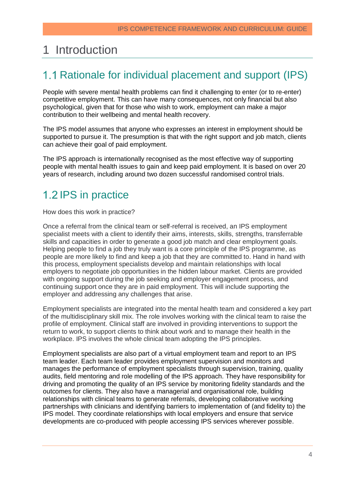## <span id="page-4-0"></span>1 Introduction

### <span id="page-4-1"></span>1.1 Rationale for individual placement and support (IPS)

People with severe mental health problems can find it challenging to enter (or to re-enter) competitive employment. This can have many consequences, not only financial but also psychological, given that for those who wish to work, employment can make a major contribution to their wellbeing and mental health recovery.

The IPS model assumes that anyone who expresses an interest in employment should be supported to pursue it. The presumption is that with the right support and job match, clients can achieve their goal of paid employment.

The IPS approach is internationally recognised as the most effective way of supporting people with mental health issues to gain and keep paid employment. It is based on over 20 years of research, including around two dozen successful randomised control trials.

## <span id="page-4-2"></span>1.2 IPS in practice

How does this work in practice?

Once a referral from the clinical team or self-referral is received, an IPS employment specialist meets with a client to identify their aims, interests, skills, strengths, transferrable skills and capacities in order to generate a good job match and clear employment goals. Helping people to find a job they truly want is a core principle of the IPS programme, as people are more likely to find and keep a job that they are committed to. Hand in hand with this process, employment specialists develop and maintain relationships with local employers to negotiate job opportunities in the hidden labour market. Clients are provided with ongoing support during the job seeking and employer engagement process, and continuing support once they are in paid employment. This will include supporting the employer and addressing any challenges that arise.

Employment specialists are integrated into the mental health team and considered a key part of the multidisciplinary skill mix. The role involves working with the clinical team to raise the profile of employment. Clinical staff are involved in providing interventions to support the return to work, to support clients to think about work and to manage their health in the workplace. IPS involves the whole clinical team adopting the IPS principles.

Employment specialists are also part of a virtual employment team and report to an IPS team leader. Each team leader provides employment supervision and monitors and manages the performance of employment specialists through supervision, training, quality audits, field mentoring and role modelling of the IPS approach. They have responsibility for driving and promoting the quality of an IPS service by monitoring fidelity standards and the outcomes for clients. They also have a managerial and organisational role, building relationships with clinical teams to generate referrals, developing collaborative working partnerships with clinicians and identifying barriers to implementation of (and fidelity to) the IPS model. They coordinate relationships with local employers and ensure that service developments are co-produced with people accessing IPS services wherever possible.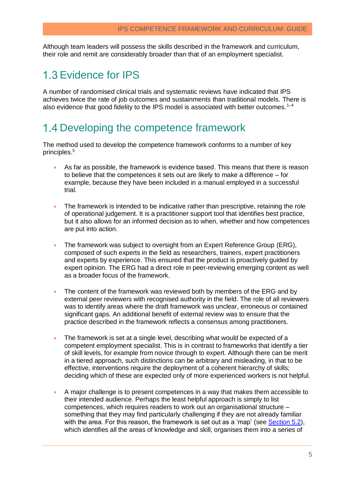Although team leaders will possess the skills described in the framework and curriculum, their role and remit are considerably broader than that of an employment specialist.

#### <span id="page-5-0"></span>1.3 Evidence for IPS

A number of randomised clinical trials and systematic reviews have indicated that IPS achieves twice the rate of job outcomes and sustainments than traditional models. There is also evidence that good fidelity to the IPS model is associated with better outcomes.<sup>1-4</sup>

#### <span id="page-5-1"></span>1.4 Developing the competence framework

The method used to develop the competence framework conforms to a number of key principles. 5

- As far as possible, the framework is evidence based. This means that there is reason to believe that the competences it sets out are likely to make a difference – for example, because they have been included in a manual employed in a successful trial.
- The framework is intended to be indicative rather than prescriptive, retaining the role of operational judgement. It is a practitioner support tool that identifies best practice, but it also allows for an informed decision as to when, whether and how competences are put into action.
- The framework was subject to oversight from an Expert Reference Group (ERG), composed of such experts in the field as researchers, trainers, expert practitioners and experts by experience. This ensured that the product is proactively guided by expert opinion. The ERG had a direct role in peer-reviewing emerging content as well as a broader focus of the framework.
- The content of the framework was reviewed both by members of the ERG and by external peer reviewers with recognised authority in the field. The role of all reviewers was to identify areas where the draft framework was unclear, erroneous or contained significant gaps. An additional benefit of external review was to ensure that the practice described in the framework reflects a consensus among practitioners.
- The framework is set at a single level, describing what would be expected of a competent employment specialist. This is in contrast to frameworks that identify a tier of skill levels, for example from novice through to expert. Although there can be merit in a tiered approach, such distinctions can be arbitrary and misleading, in that to be effective, interventions require the deployment of a coherent hierarchy of skills; deciding which of these are expected only of more experienced workers is not helpful.
- A major challenge is to present competences in a way that makes them accessible to their intended audience. Perhaps the least helpful approach is simply to list competences, which requires readers to work out an organisational structure – something that they may find particularly challenging if they are not already familiar with the area. For this reason, the framework is set out as a 'map' (see [Section 5.2\)](#page-14-0), which identifies all the areas of knowledge and skill, organises them into a series of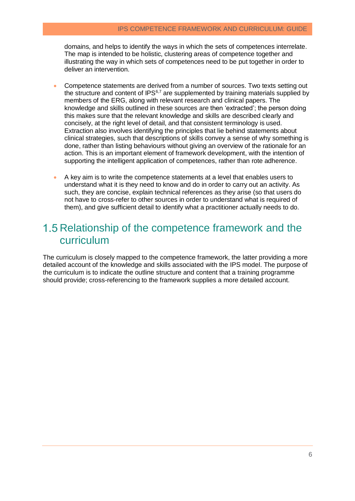domains, and helps to identify the ways in which the sets of competences interrelate. The map is intended to be holistic, clustering areas of competence together and illustrating the way in which sets of competences need to be put together in order to deliver an intervention.

- Competence statements are derived from a number of sources. Two texts setting out the structure and content of  $IPS<sup>6,7</sup>$  are supplemented by training materials supplied by members of the ERG, along with relevant research and clinical papers. The knowledge and skills outlined in these sources are then 'extracted'; the person doing this makes sure that the relevant knowledge and skills are described clearly and concisely, at the right level of detail, and that consistent terminology is used. Extraction also involves identifying the principles that lie behind statements about clinical strategies, such that descriptions of skills convey a sense of why something is done, rather than listing behaviours without giving an overview of the rationale for an action. This is an important element of framework development, with the intention of supporting the intelligent application of competences, rather than rote adherence.
- A key aim is to write the competence statements at a level that enables users to understand what it is they need to know and do in order to carry out an activity. As such, they are concise, explain technical references as they arise (so that users do not have to cross-refer to other sources in order to understand what is required of them), and give sufficient detail to identify what a practitioner actually needs to do.

#### <span id="page-6-0"></span>1.5 Relationship of the competence framework and the curriculum

The curriculum is closely mapped to the competence framework, the latter providing a more detailed account of the knowledge and skills associated with the IPS model. The purpose of the curriculum is to indicate the outline structure and content that a training programme should provide; cross-referencing to the framework supplies a more detailed account.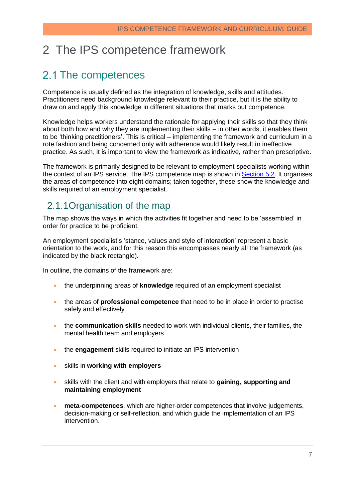## <span id="page-7-0"></span>2 The IPS competence framework

#### <span id="page-7-1"></span>2.1 The competences

Competence is usually defined as the integration of knowledge, skills and attitudes. Practitioners need background knowledge relevant to their practice, but it is the ability to draw on and apply this knowledge in different situations that marks out competence.

Knowledge helps workers understand the rationale for applying their skills so that they think about both how and why they are implementing their skills – in other words, it enables them to be 'thinking practitioners'. This is critical – implementing the framework and curriculum in a rote fashion and being concerned only with adherence would likely result in ineffective practice. As such, it is important to view the framework as indicative, rather than prescriptive.

The framework is primarily designed to be relevant to employment specialists working within the context of an IPS service. The IPS competence map is shown in [Section 5.2.](#page-14-0) It organises the areas of competence into eight domains; taken together, these show the knowledge and skills required of an employment specialist.

#### 2.1.1Organisation of the map

The map shows the ways in which the activities fit together and need to be 'assembled' in order for practice to be proficient.

An employment specialist's 'stance, values and style of interaction' represent a basic orientation to the work, and for this reason this encompasses nearly all the framework (as indicated by the black rectangle).

In outline, the domains of the framework are:

- the underpinning areas of **knowledge** required of an employment specialist
- the areas of **professional competence** that need to be in place in order to practise safely and effectively
- the **communication skills** needed to work with individual clients, their families, the mental health team and employers
- the **engagement** skills required to initiate an IPS intervention
- skills in **working with employers**
- skills with the client and with employers that relate to **gaining, supporting and maintaining employment**
- **meta-competences**, which are higher-order competences that involve judgements, decision-making or self-reflection, and which guide the implementation of an IPS intervention.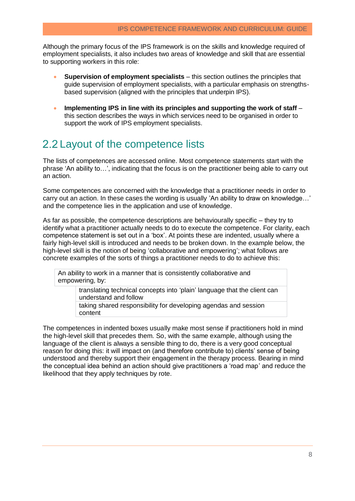Although the primary focus of the IPS framework is on the skills and knowledge required of employment specialists, it also includes two areas of knowledge and skill that are essential to supporting workers in this role:

- **Supervision of employment specialists**  this section outlines the principles that guide supervision of employment specialists, with a particular emphasis on strengthsbased supervision (aligned with the principles that underpin IPS).
- **Implementing IPS in line with its principles and supporting the work of staff** this section describes the ways in which services need to be organised in order to support the work of IPS employment specialists.

## <span id="page-8-0"></span>2.2 Layout of the competence lists

The lists of competences are accessed online. Most competence statements start with the phrase 'An ability to…', indicating that the focus is on the practitioner being able to carry out an action.

Some competences are concerned with the knowledge that a practitioner needs in order to carry out an action. In these cases the wording is usually 'An ability to draw on knowledge…' and the competence lies in the application and use of knowledge.

As far as possible, the competence descriptions are behaviourally specific – they try to identify what a practitioner actually needs to do to execute the competence. For clarity, each competence statement is set out in a 'box'. At points these are indented, usually where a fairly high-level skill is introduced and needs to be broken down. In the example below, the high-level skill is the notion of being 'collaborative and empowering'; what follows are concrete examples of the sorts of things a practitioner needs to do to achieve this:

An ability to work in a manner that is consistently collaborative and empowering, by:

> translating technical concepts into 'plain' language that the client can understand and follow

taking shared responsibility for developing agendas and session content

The competences in indented boxes usually make most sense if practitioners hold in mind the high-level skill that precedes them. So, with the same example, although using the language of the client is always a sensible thing to do, there is a very good conceptual reason for doing this: it will impact on (and therefore contribute to) clients' sense of being understood and thereby support their engagement in the therapy process. Bearing in mind the conceptual idea behind an action should give practitioners a 'road map' and reduce the likelihood that they apply techniques by rote.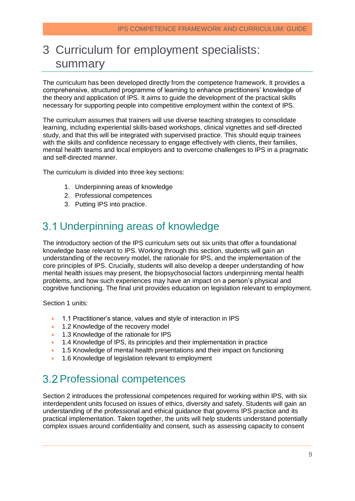# <span id="page-9-0"></span>3 Curriculum for employment specialists: summary

The curriculum has been developed directly from the competence framework. It provides a comprehensive, structured programme of learning to enhance practitioners' knowledge of the theory and application of IPS. It aims to guide the development of the practical skills necessary for supporting people into competitive employment within the context of IPS.

The curriculum assumes that trainers will use diverse teaching strategies to consolidate learning, including experiential skills-based workshops, clinical vignettes and self-directed study, and that this will be integrated with supervised practice. This should equip trainees with the skills and confidence necessary to engage effectively with clients, their families, mental health teams and local employers and to overcome challenges to IPS in a pragmatic and self-directed manner.

The curriculum is divided into three key sections:

- 1. Underpinning areas of knowledge
- 2. Professional competences
- 3. Putting IPS into practice.

### <span id="page-9-1"></span>3.1 Underpinning areas of knowledge

The introductory section of the IPS curriculum sets out six units that offer a foundational knowledge base relevant to IPS. Working through this section, students will gain an understanding of the recovery model, the rationale for IPS, and the implementation of the core principles of IPS. Crucially, students will also develop a deeper understanding of how mental health issues may present, the biopsychosocial factors underpinning mental health problems, and how such experiences may have an impact on a person's physical and cognitive functioning. The final unit provides education on legislation relevant to employment.

Section 1 units:

- 1.1 Practitioner's stance, values and style of interaction in IPS
- 1.2 Knowledge of the recovery model
- 1.3 Knowledge of the rationale for IPS
- 1.4 Knowledge of IPS, its principles and their implementation in practice
- 1.5 Knowledge of mental health presentations and their impact on functioning
- 1.6 Knowledge of legislation relevant to employment

#### <span id="page-9-2"></span>**3.2 Professional competences**

Section 2 introduces the professional competences required for working within IPS, with six interdependent units focused on issues of ethics, diversity and safety. Students will gain an understanding of the professional and ethical guidance that governs IPS practice and its practical implementation. Taken together, the units will help students understand potentially complex issues around confidentiality and consent, such as assessing capacity to consent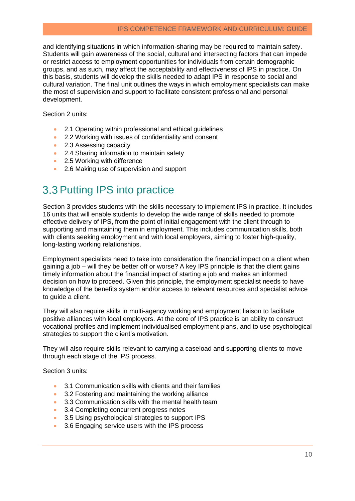#### IPS COMPETENCE FRAMEWORK AND CURRICULUM: GUIDE

and identifying situations in which information-sharing may be required to maintain safety. Students will gain awareness of the social, cultural and intersecting factors that can impede or restrict access to employment opportunities for individuals from certain demographic groups, and as such, may affect the acceptability and effectiveness of IPS in practice. On this basis, students will develop the skills needed to adapt IPS in response to social and cultural variation. The final unit outlines the ways in which employment specialists can make the most of supervision and support to facilitate consistent professional and personal development.

Section 2 units:

- 2.1 Operating within professional and ethical guidelines
- 2.2 Working with issues of confidentiality and consent
- 2.3 Assessing capacity
- 2.4 Sharing information to maintain safety
- 2.5 Working with difference
- 2.6 Making use of supervision and support

#### <span id="page-10-0"></span>3.3 Putting IPS into practice

Section 3 provides students with the skills necessary to implement IPS in practice. It includes 16 units that will enable students to develop the wide range of skills needed to promote effective delivery of IPS, from the point of initial engagement with the client through to supporting and maintaining them in employment. This includes communication skills, both with clients seeking employment and with local employers, aiming to foster high-quality, long-lasting working relationships.

Employment specialists need to take into consideration the financial impact on a client when gaining a job – will they be better off or worse? A key IPS principle is that the client gains timely information about the financial impact of starting a job and makes an informed decision on how to proceed. Given this principle, the employment specialist needs to have knowledge of the benefits system and/or access to relevant resources and specialist advice to guide a client.

They will also require skills in multi-agency working and employment liaison to facilitate positive alliances with local employers. At the core of IPS practice is an ability to construct vocational profiles and implement individualised employment plans, and to use psychological strategies to support the client's motivation.

They will also require skills relevant to carrying a caseload and supporting clients to move through each stage of the IPS process.

Section 3 units:

- 3.1 Communication skills with clients and their families
- 3.2 Fostering and maintaining the working alliance
- 3.3 Communication skills with the mental health team
- 3.4 Completing concurrent progress notes
- 3.5 Using psychological strategies to support IPS
- 3.6 Engaging service users with the IPS process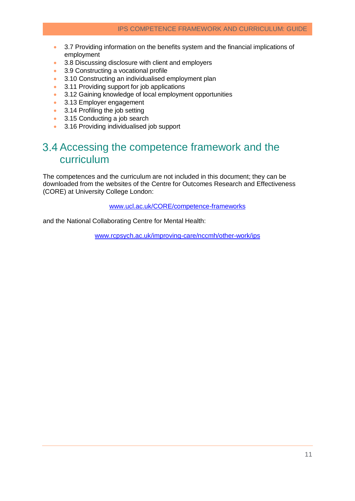- 3.7 Providing information on the benefits system and the financial implications of employment
- 3.8 Discussing disclosure with client and employers
- 3.9 Constructing a vocational profile
- 3.10 Constructing an individualised employment plan
- 3.11 Providing support for job applications
- 3.12 Gaining knowledge of local employment opportunities
- 3.13 Employer engagement
- 3.14 Profiling the job setting
- 3.15 Conducting a job search
- 3.16 Providing individualised job support

#### <span id="page-11-0"></span>3.4 Accessing the competence framework and the curriculum

The competences and the curriculum are not included in this document; they can be downloaded from the websites of the Centre for Outcomes Research and Effectiveness (CORE) at University College London:

[www.ucl.ac.uk/CORE/competence-frameworks](http://www.ucl.ac.uk/CORE/competence-frameworks)

and the National Collaborating Centre for Mental Health:

www.rcpsych.ac.uk/improving-care/nccmh/other-work/ips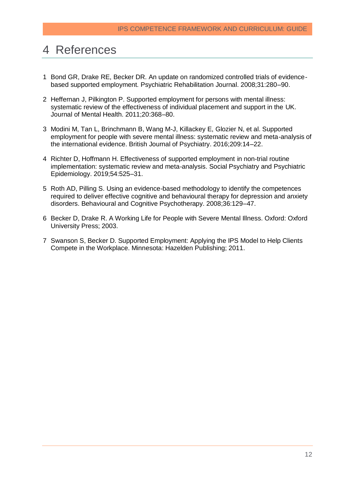## <span id="page-12-0"></span>4 References

- 1 Bond GR, Drake RE, Becker DR. An update on randomized controlled trials of evidencebased supported employment. Psychiatric Rehabilitation Journal. 2008;31:280–90.
- 2 Heffernan J, Pilkington P. Supported employment for persons with mental illness: systematic review of the effectiveness of individual placement and support in the UK. Journal of Mental Health. 2011;20:368–80.
- 3 Modini M, Tan L, Brinchmann B, Wang M-J, Killackey E, Glozier N, et al. Supported employment for people with severe mental illness: systematic review and meta-analysis of the international evidence. British Journal of Psychiatry. 2016;209:14–22.
- 4 Richter D, Hoffmann H. Effectiveness of supported employment in non-trial routine implementation: systematic review and meta-analysis. Social Psychiatry and Psychiatric Epidemiology. 2019;54:525–31.
- 5 Roth AD, Pilling S. Using an evidence-based methodology to identify the competences required to deliver effective cognitive and behavioural therapy for depression and anxiety disorders. Behavioural and Cognitive Psychotherapy. 2008;36:129–47.
- 6 Becker D, Drake R. A Working Life for People with Severe Mental Illness. Oxford: Oxford University Press; 2003.
- 7 Swanson S, Becker D. Supported Employment: Applying the IPS Model to Help Clients Compete in the Workplace. Minnesota: Hazelden Publishing; 2011.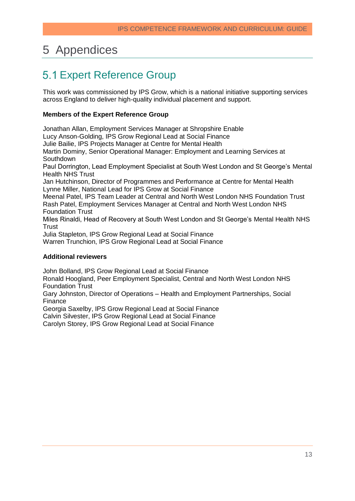# <span id="page-13-0"></span>5 Appendices

#### <span id="page-13-1"></span>Expert Reference Group

This work was commissioned by IPS Grow, which is a national initiative supporting services across England to deliver high-quality individual placement and support.

#### **Members of the Expert Reference Group**

Jonathan Allan, Employment Services Manager at Shropshire Enable Lucy Anson-Golding, IPS Grow Regional Lead at Social Finance Julie Bailie, IPS Projects Manager at Centre for Mental Health Martin Dominy, Senior Operational Manager: Employment and Learning Services at **Southdown** Paul Dorrington, Lead Employment Specialist at South West London and St George's Mental Health NHS Trust Jan Hutchinson, Director of Programmes and Performance at Centre for Mental Health Lynne Miller, National Lead for IPS Grow at Social Finance Meenal Patel, IPS Team Leader at Central and North West London NHS Foundation Trust Rash Patel, Employment Services Manager at Central and North West London NHS Foundation Trust Miles Rinaldi, Head of Recovery at South West London and St George's Mental Health NHS **Trust** 

Julia Stapleton, IPS Grow Regional Lead at Social Finance Warren Trunchion, IPS Grow Regional Lead at Social Finance

#### **Additional reviewers**

John Bolland, IPS Grow Regional Lead at Social Finance

Ronald Hoogland, Peer Employment Specialist, Central and North West London NHS Foundation Trust

Gary Johnston, Director of Operations – Health and Employment Partnerships, Social Finance

[Georgia Saxelby,](mailto:Georgia%20Saxelby) IPS Grow Regional Lead at Social Finance

Calvin Silvester, IPS Grow Regional Lead at Social Finance

Carolyn Storey, IPS Grow Regional Lead at Social Finance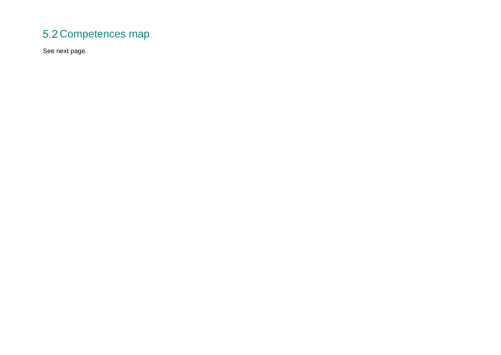# 5.2 Competences map

<span id="page-14-0"></span>See next page.